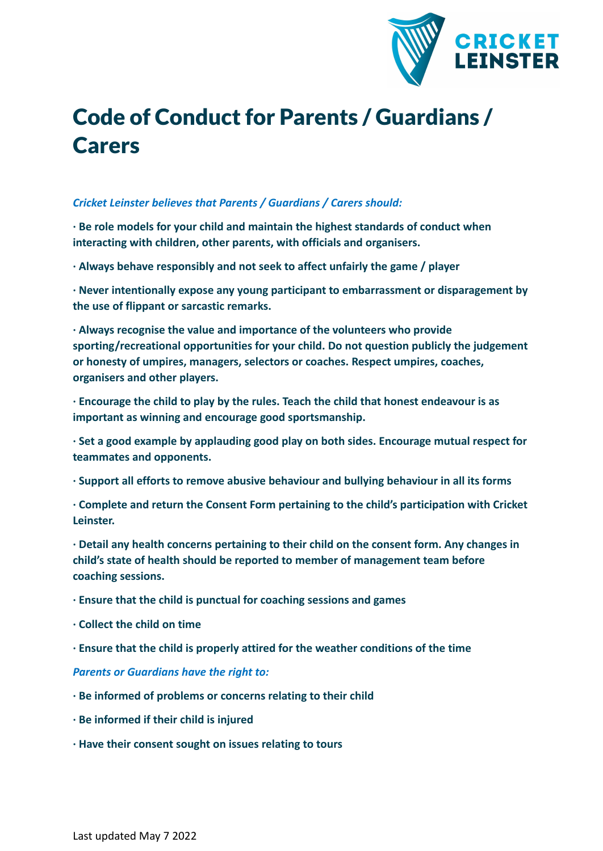

## Code of Conduct for Parents / Guardians / **Carers**

## *Cricket Leinster believes that Parents / Guardians / Carers should:*

**· Be role models for your child and maintain the highest standards of conduct when interacting with children, other parents, with officials and organisers.**

**· Always behave responsibly and not seek to affect unfairly the game / player**

**· Never intentionally expose any young participant to embarrassment or disparagement by the use of flippant or sarcastic remarks.**

**· Always recognise the value and importance of the volunteers who provide sporting/recreational opportunities for your child. Do not question publicly the judgement or honesty of umpires, managers, selectors or coaches. Respect umpires, coaches, organisers and other players.**

**· Encourage the child to play by the rules. Teach the child that honest endeavour is as important as winning and encourage good sportsmanship.**

**· Set a good example by applauding good play on both sides. Encourage mutual respect for teammates and opponents.**

**· Support all efforts to remove abusive behaviour and bullying behaviour in all its forms**

**· Complete and return the Consent Form pertaining to the child's participation with Cricket Leinster.**

**· Detail any health concerns pertaining to their child on the consent form. Any changes in child's state of health should be reported to member of management team before coaching sessions.**

- **· Ensure that the child is punctual for coaching sessions and games**
- **· Collect the child on time**
- **· Ensure that the child is properly attired for the weather conditions of the time**

*Parents or Guardians have the right to:*

- **· Be informed of problems or concerns relating to their child**
- **· Be informed if their child is injured**
- **· Have their consent sought on issues relating to tours**